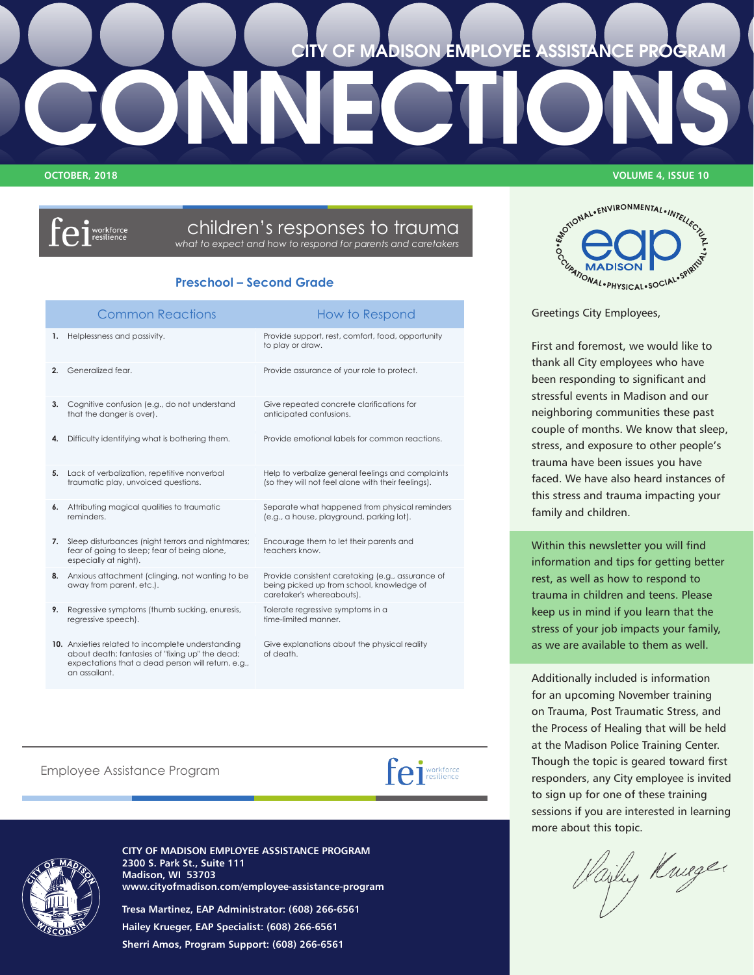## **CITY OF MADISON EMPLOYEE ASSISTANCE PROGRAM**

 $\mathbf{P}$  workforce

#### children's responses to trauma *what to expect and how to respond for parents and caretakers*

**CONNECTIONS**

#### **Preschool – Second Grade**

|    | <b>Common Reactions</b>                                                                                                                                                     | How to Respond                                                                                                              |
|----|-----------------------------------------------------------------------------------------------------------------------------------------------------------------------------|-----------------------------------------------------------------------------------------------------------------------------|
| 1. | Helplessness and passivity.                                                                                                                                                 | Provide support, rest, comfort, food, opportunity<br>to play or draw.                                                       |
| 2. | Generalized fear.                                                                                                                                                           | Provide assurance of your role to protect.                                                                                  |
| 3. | Cognitive confusion (e.g., do not understand<br>that the danger is over).                                                                                                   | Give repeated concrete clarifications for<br>anticipated confusions.                                                        |
| 4. | Difficulty identifying what is bothering them.                                                                                                                              | Provide emotional labels for common reactions.                                                                              |
| 5. | Lack of verbalization, repetitive nonverbal<br>traumatic play, unvoiced questions.                                                                                          | Help to verbalize general feelings and complaints<br>(so they will not feel alone with their feelings).                     |
| 6. | Attributing magical qualities to traumatic<br>reminders.                                                                                                                    | Separate what happened from physical reminders<br>(e.g., a house, playground, parking lot).                                 |
| 7. | Sleep disturbances (night terrors and nightmares;<br>fear of going to sleep; fear of being alone,<br>especially at night).                                                  | Encourage them to let their parents and<br>teachers know.                                                                   |
| 8. | Anxious attachment (clinging, not wanting to be<br>away from parent, etc.).                                                                                                 | Provide consistent caretaking (e.g., assurance of<br>being picked up from school, knowledge of<br>caretaker's whereabouts). |
| 9. | Regressive symptoms (thumb sucking, enuresis,<br>regressive speech).                                                                                                        | Tolerate regressive symptoms in a<br>time-limited manner.                                                                   |
|    | 10. Anxieties related to incomplete understanding<br>about death; fantasies of "fixing up" the dead;<br>expectations that a dead person will return, e.g.,<br>an assailant. | Give explanations about the physical reality<br>of death.                                                                   |

Employee Assistance Program





**CITY OF MADISON EMPLOYEE ASSISTANCE PROGRAM 2300 S. Park St., Suite 111 Madison, WI 53703 [www.cityofmadison.com/employee-assistance-program](http://www.cityofmadison.com/employee-assistance-program)**

**Tresa Martinez, EAP Administrator: (608) 266-6561 Hailey Krueger, EAP Specialist: (608) 266-6561 Sherri Amos, Program Support: (608) 266-6561**

#### **OCTOBER, 2018 VOLUME 4, ISSUE 10**



Greetings City Employees,

First and foremost, we would like to thank all City employees who have been responding to significant and stressful events in Madison and our neighboring communities these past couple of months. We know that sleep, stress, and exposure to other people's trauma have been issues you have faced. We have also heard instances of this stress and trauma impacting your family and children.

Within this newsletter you will find information and tips for getting better rest, as well as how to respond to trauma in children and teens. Please keep us in mind if you learn that the stress of your job impacts your family, as we are available to them as well.

Additionally included is information for an upcoming November training on Trauma, Post Traumatic Stress, and the Process of Healing that will be held at the Madison Police Training Center. Though the topic is geared toward first responders, any City employee is invited to sign up for one of these training sessions if you are interested in learning more about this topic.

Hailey Kniger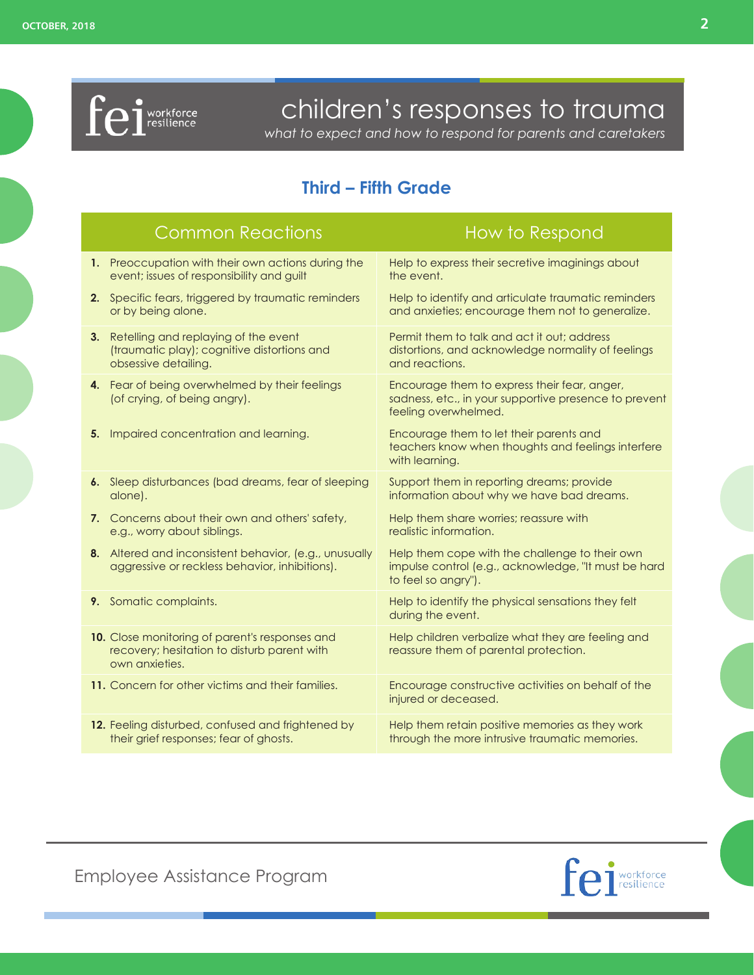

# children's responses to trauma

*what to expect and how to respond for parents and caretakers*

## **Third – Fifth Grade**

| <b>Common Reactions</b>                                                                                           | How to Respond                                                                                                                |
|-------------------------------------------------------------------------------------------------------------------|-------------------------------------------------------------------------------------------------------------------------------|
| 1. Preoccupation with their own actions during the<br>event; issues of responsibility and guilt                   | Help to express their secretive imaginings about<br>the event.                                                                |
| Specific fears, triggered by traumatic reminders<br>2.<br>or by being alone.                                      | Help to identify and articulate traumatic reminders<br>and anxieties; encourage them not to generalize.                       |
| Retelling and replaying of the event<br>3.<br>(traumatic play); cognitive distortions and<br>obsessive detailing. | Permit them to talk and act it out; address<br>distortions, and acknowledge normality of feelings<br>and reactions.           |
| 4. Fear of being overwhelmed by their feelings<br>(of crying, of being angry).                                    | Encourage them to express their fear, anger,<br>sadness, etc., in your supportive presence to prevent<br>feeling overwhelmed. |
| Impaired concentration and learning.<br>5.                                                                        | Encourage them to let their parents and<br>teachers know when thoughts and feelings interfere<br>with learning.               |
| 6. Sleep disturbances (bad dreams, fear of sleeping<br>alone).                                                    | Support them in reporting dreams; provide<br>information about why we have bad dreams.                                        |
| 7. Concerns about their own and others' safety,<br>e.g., worry about siblings.                                    | Help them share worries; reassure with<br>realistic information.                                                              |
| Altered and inconsistent behavior, (e.g., unusually<br>8.<br>aggressive or reckless behavior, inhibitions).       | Help them cope with the challenge to their own<br>impulse control (e.g., acknowledge, "It must be hard<br>to feel so angry"). |
| 9. Somatic complaints.                                                                                            | Help to identify the physical sensations they felt<br>during the event.                                                       |
| 10. Close monitoring of parent's responses and<br>recovery; hesitation to disturb parent with<br>own anxieties.   | Help children verbalize what they are feeling and<br>reassure them of parental protection.                                    |
| 11. Concern for other victims and their families.                                                                 | Encourage constructive activities on behalf of the<br>injured or deceased.                                                    |
| 12. Feeling disturbed, confused and frightened by<br>their grief responses; fear of ghosts.                       | Help them retain positive memories as they work<br>through the more intrusive traumatic memories.                             |

 $f$  $\rho$ i workforce<br>resilience

Employee Assistance Program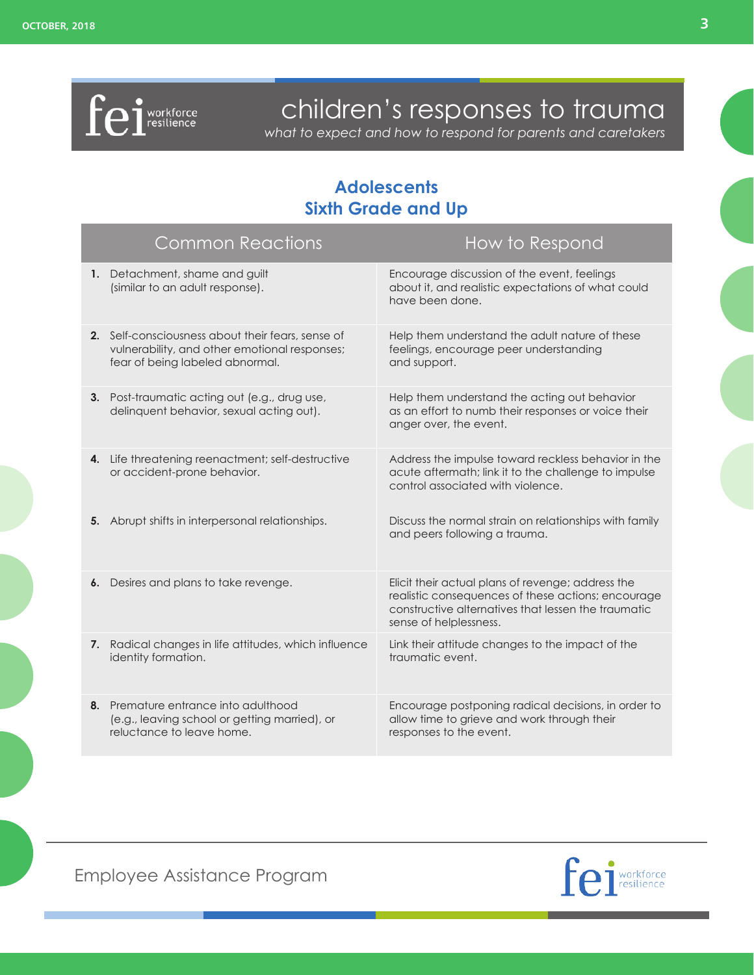

children's responses to trauma

*what to expect and how to respond for parents and caretakers*

## **Adolescents Sixth Grade and Up**

|    | <b>Common Reactions</b>                                                                                                               | How to Respond                                                                                                                                                                           |
|----|---------------------------------------------------------------------------------------------------------------------------------------|------------------------------------------------------------------------------------------------------------------------------------------------------------------------------------------|
|    | 1. Detachment, shame and guilt<br>(similar to an adult response).                                                                     | Encourage discussion of the event, feelings<br>about it, and realistic expectations of what could<br>have been done.                                                                     |
|    | 2. Self-consciousness about their fears, sense of<br>vulnerability, and other emotional responses;<br>fear of being labeled abnormal. | Help them understand the adult nature of these<br>feelings, encourage peer understanding<br>and support.                                                                                 |
|    | 3. Post-traumatic acting out (e.g., drug use,<br>delinquent behavior, sexual acting out).                                             | Help them understand the acting out behavior<br>as an effort to numb their responses or voice their<br>anger over, the event.                                                            |
|    | 4. Life threatening reenactment; self-destructive<br>or accident-prone behavior.                                                      | Address the impulse toward reckless behavior in the<br>acute aftermath; link it to the challenge to impulse<br>control associated with violence.                                         |
| 5. | Abrupt shifts in interpersonal relationships.                                                                                         | Discuss the normal strain on relationships with family<br>and peers following a trauma.                                                                                                  |
|    | 6. Desires and plans to take revenge.                                                                                                 | Elicit their actual plans of revenge; address the<br>realistic consequences of these actions; encourage<br>constructive alternatives that lessen the traumatic<br>sense of helplessness. |
|    | 7. Radical changes in life attitudes, which influence<br>identity formation.                                                          | Link their attitude changes to the impact of the<br>traumatic event.                                                                                                                     |
|    | 8. Premature entrance into adulthood<br>(e.g., leaving school or getting married), or<br>reluctance to leave home.                    | Encourage postponing radical decisions, in order to<br>allow time to grieve and work through their<br>responses to the event.                                                            |

Employee Assistance Program

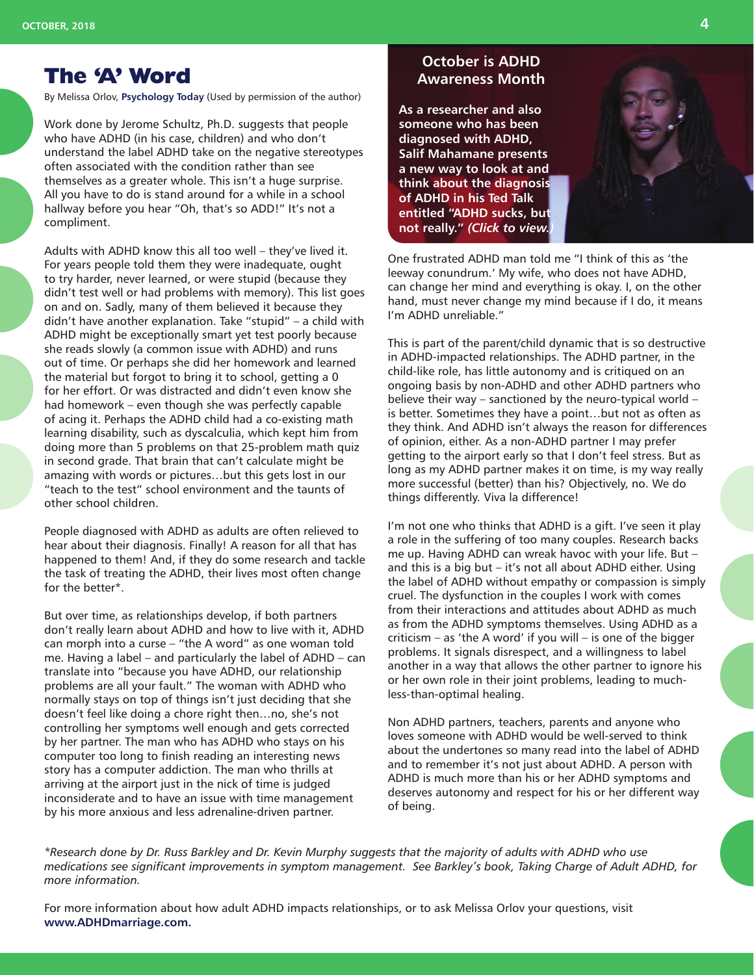## **The 'A' Word**

By Melissa Orlov, **[Psychology Today](https://www.psychologytoday.com/us/blog/may-i-have-your-attention/201607/the-word)** (Used by permission of the author)

Work done by Jerome Schultz, Ph.D. suggests that people who have ADHD (in his case, children) and who don't understand the label ADHD take on the negative stereotypes often associated with the condition rather than see themselves as a greater whole. This isn't a huge surprise. All you have to do is stand around for a while in a school hallway before you hear "Oh, that's so ADD!" It's not a compliment.

Adults with ADHD know this all too well – they've lived it. For years people told them they were inadequate, ought to try harder, never learned, or were stupid (because they didn't test well or had problems with memory). This list goes on and on. Sadly, many of them believed it because they didn't have another explanation. Take "stupid" – a child with ADHD might be exceptionally smart yet test poorly because she reads slowly (a common issue with ADHD) and runs out of time. Or perhaps she did her homework and learned the material but forgot to bring it to school, getting a 0 for her effort. Or was distracted and didn't even know she had homework – even though she was perfectly capable of acing it. Perhaps the ADHD child had a co-existing math learning disability, such as dyscalculia, which kept him from doing more than 5 problems on that 25-problem math quiz in second grade. That brain that can't calculate might be amazing with words or pictures…but this gets lost in our "teach to the test" school environment and the taunts of other school children.

People diagnosed with ADHD as adults are often relieved to hear about their diagnosis. Finally! A reason for all that has happened to them! And, if they do some research and tackle the task of treating the ADHD, their lives most often change for the better\*.

But over time, as relationships develop, if both partners don't really learn about ADHD and how to live with it, ADHD can morph into a curse – "the A word" as one woman told me. Having a label – and particularly the label of ADHD – can translate into "because you have ADHD, our relationship problems are all your fault." The woman with ADHD who normally stays on top of things isn't just deciding that she doesn't feel like doing a chore right then…no, she's not controlling her symptoms well enough and gets corrected by her partner. The man who has ADHD who stays on his computer too long to finish reading an interesting news story has a computer addiction. The man who thrills at arriving at the airport just in the nick of time is judged inconsiderate and to have an issue with time management by his more anxious and less adrenaline-driven partner.

#### **October is ADHD Awareness Month**

**As a researcher and also someone who has been diagnosed with ADHD, Salif Mahamane presents a new way to look at and think about the diagnosis of ADHD in his Ted Talk [entitled "ADHD sucks, but](https://www.youtube.com/watch?v=fWCocjh5aK0)  not really."** *(Click to view.)*



One frustrated ADHD man told me "I think of this as 'the leeway conundrum.' My wife, who does not have ADHD, can change her mind and everything is okay. I, on the other hand, must never change my mind because if I do, it means I'm ADHD unreliable."

This is part of the parent/child dynamic that is so destructive in ADHD-impacted relationships. The ADHD partner, in the child-like role, has little autonomy and is critiqued on an ongoing basis by non-ADHD and other ADHD partners who believe their way – sanctioned by the neuro-typical world – is better. Sometimes they have a point…but not as often as they think. And ADHD isn't always the reason for differences of opinion, either. As a non-ADHD partner I may prefer getting to the airport early so that I don't feel stress. But as long as my ADHD partner makes it on time, is my way really more successful (better) than his? Objectively, no. We do things differently. Viva la difference!

I'm not one who thinks that ADHD is a gift. I've seen it play a role in the suffering of too many couples. Research backs me up. Having ADHD can wreak havoc with your life. But – and this is a big but – it's not all about ADHD either. Using the label of ADHD without empathy or compassion is simply cruel. The dysfunction in the couples I work with comes from their interactions and attitudes about ADHD as much as from the ADHD symptoms themselves. Using ADHD as a criticism – as 'the A word' if you will – is one of the bigger problems. It signals disrespect, and a willingness to label another in a way that allows the other partner to ignore his or her own role in their joint problems, leading to muchless-than-optimal healing.

Non ADHD partners, teachers, parents and anyone who loves someone with ADHD would be well-served to think about the undertones so many read into the label of ADHD and to remember it's not just about ADHD. A person with ADHD is much more than his or her ADHD symptoms and deserves autonomy and respect for his or her different way of being.

*\*Research done by Dr. Russ Barkley and Dr. Kevin Murphy suggests that the majority of adults with ADHD who use medications see significant improvements in symptom management. See Barkley's book, Taking Charge of Adult ADHD, for more information.*

For more information about how adult ADHD impacts relationships, or to ask Melissa Orlov your questions, visit **[www.ADHDmarriage.com.](http://www.ADHDmarriage.com)**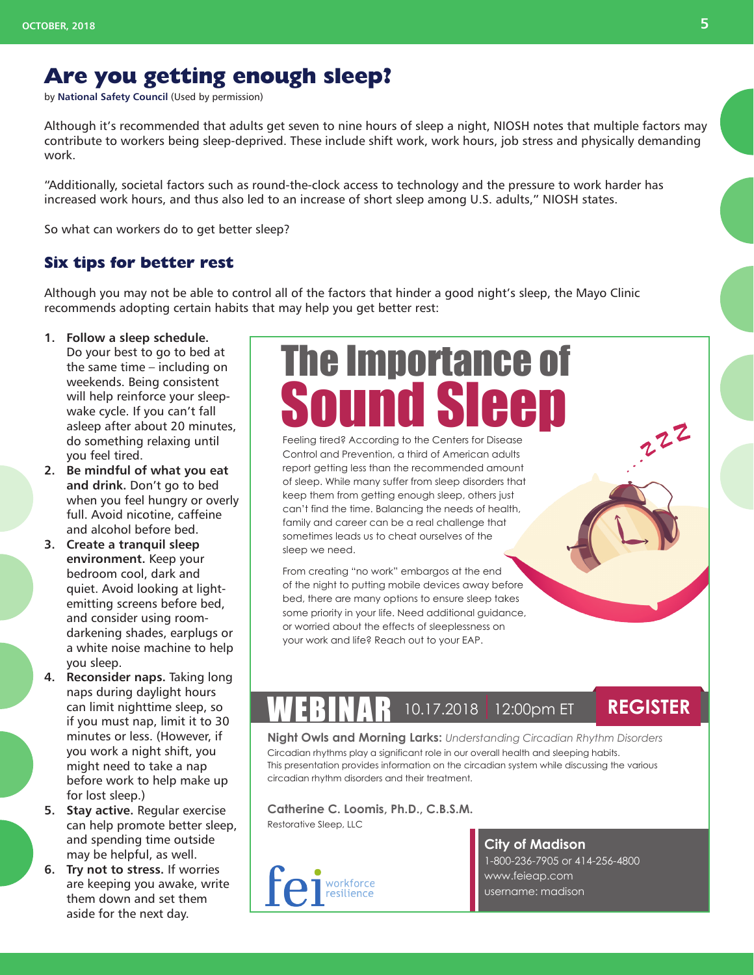## **Are you getting enough sleep?**

by **[National Safety Council](https://www.safetyandhealthmagazine.com/articles/17154-are-you-getting-enough-sleep)** (Used by permission)

Although it's recommended that adults get seven to nine hours of sleep a night, NIOSH notes that multiple factors may contribute to workers being sleep-deprived. These include shift work, work hours, job stress and physically demanding work.

"Additionally, societal factors such as round-the-clock access to technology and the pressure to work harder has increased work hours, and thus also led to an increase of short sleep among U.S. adults," NIOSH states.

So what can workers do to get better sleep?

#### **Six tips for better rest**

Although you may not be able to control all of the factors that hinder a good night's sleep, the Mayo Clinic recommends adopting certain habits that may help you get better rest:

- **1. Follow a sleep schedule.** Do your best to go to bed at the same time – including on weekends. Being consistent will help reinforce your sleepwake cycle. If you can't fall asleep after about 20 minutes, do something relaxing until you feel tired.
- **2. Be mindful of what you eat and drink.** Don't go to bed when you feel hungry or overly full. Avoid nicotine, caffeine and alcohol before bed.
- **3. Create a tranquil sleep environment.** Keep your bedroom cool, dark and quiet. Avoid looking at lightemitting screens before bed, and consider using roomdarkening shades, earplugs or a white noise machine to help you sleep.
- **4. Reconsider naps.** Taking long naps during daylight hours can limit nighttime sleep, so if you must nap, limit it to 30 minutes or less. (However, if you work a night shift, you might need to take a nap before work to help make up for lost sleep.)
- **5. Stay active.** Regular exercise can help promote better sleep, and spending time outside may be helpful, as well.
- **6. Try not to stress.** If worries are keeping you awake, write them down and set them aside for the next day.

# The Importance of Sound Sleep

Feeling tired? According to the Centers for Disease Control and Prevention, a third of American adults report getting less than the recommended amount of sleep. While many suffer from sleep disorders that keep them from getting enough sleep, others just can't find the time. Balancing the needs of health, family and career can be a real challenge that sometimes leads us to cheat ourselves of the sleep we need.

From creating "no work" embargos at the end of the night to putting mobile devices away before bed, there are many options to ensure sleep takes some priority in your life. Need additional guidance, or worried about the effects of sleeplessness on your work and life? Reach out to your EAP.

## WEBINAR 10.17.2018 12:00pm ET **[REGISTER](https://cc.callinfo.com/registration/#/?meeting=1l984xsglq1xb&campaign=1qjmdfvcdso5q)**

**Night Owls and Morning Larks:** *Understanding Circadian Rhythm Disorders* Circadian rhythms play a significant role in our overall health and sleeping habits. This presentation provides information on the circadian system while discussing the various circadian rhythm disorders and their treatment.

**Catherine C. Loomis, Ph.D., C.B.S.M.** Restorative Sleep, LLC



**City of Madison** 1-800-236-7905 or 414-256-4800 www.feieap.com username: madison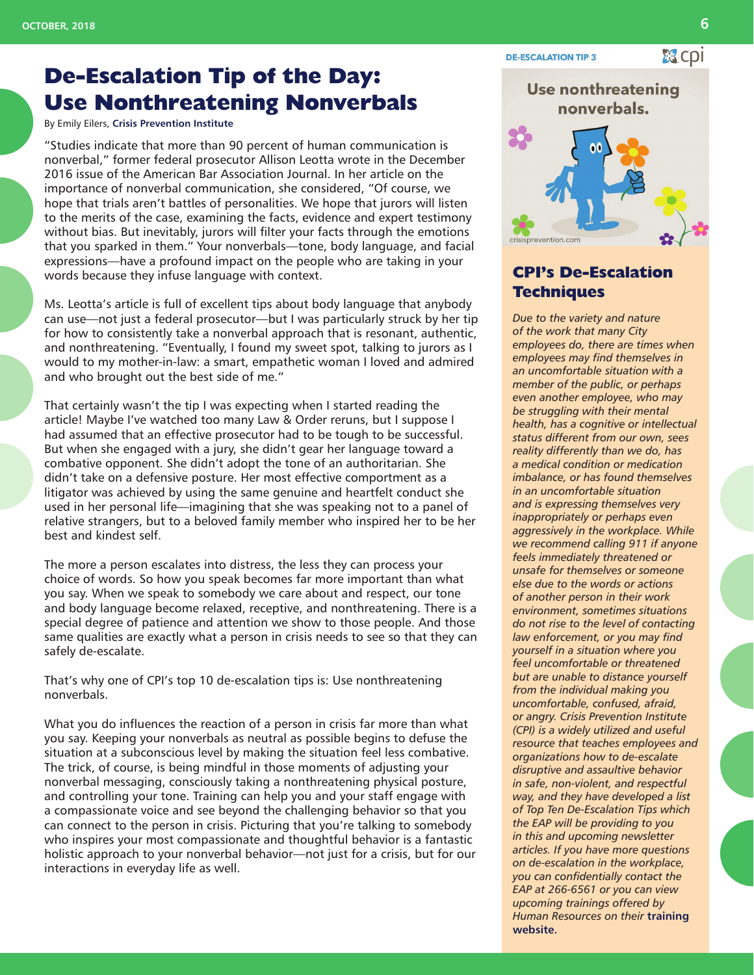**DE-ESCALATION TIP 3** 

83 Cpi

## **De-Escalation Tip of the Day: Use Nonthreatening Nonverbals**

#### By Emily Eilers, **[Crisis Prevention Institute](https://www.crisisprevention.com/)**

"Studies indicate that more than 90 percent of human communication is nonverbal," former federal prosecutor Allison Leotta wrote in the December 2016 issue of the American Bar Association Journal. In her article on the importance of nonverbal communication, she considered, "Of course, we hope that trials aren't battles of personalities. We hope that jurors will listen to the merits of the case, examining the facts, evidence and expert testimony without bias. But inevitably, jurors will filter your facts through the emotions that you sparked in them." Your nonverbals—tone, body language, and facial expressions—have a profound impact on the people who are taking in your words because they infuse language with context.

Ms. Leotta's article is full of excellent tips about body language that anybody can use—not just a federal prosecutor—but I was particularly struck by her tip for how to consistently take a nonverbal approach that is resonant, authentic, and nonthreatening. "Eventually, I found my sweet spot, talking to jurors as I would to my mother-in-law: a smart, empathetic woman I loved and admired and who brought out the best side of me."

That certainly wasn't the tip I was expecting when I started reading the article! Maybe I've watched too many Law & Order reruns, but I suppose I had assumed that an effective prosecutor had to be tough to be successful. But when she engaged with a jury, she didn't gear her language toward a combative opponent. She didn't adopt the tone of an authoritarian. She didn't take on a defensive posture. Her most effective comportment as a litigator was achieved by using the same genuine and heartfelt conduct she used in her personal life—imagining that she was speaking not to a panel of relative strangers, but to a beloved family member who inspired her to be her best and kindest self.

The more a person escalates into distress, the less they can process your choice of words. So how you speak becomes far more important than what you say. When we speak to somebody we care about and respect, our tone and body language become relaxed, receptive, and nonthreatening. There is a special degree of patience and attention we show to those people. And those same qualities are exactly what a person in crisis needs to see so that they can safely de-escalate.

That's why one of CPI's top 10 de-escalation tips is: Use nonthreatening nonverbals.

What you do influences the reaction of a person in crisis far more than what you say. Keeping your nonverbals as neutral as possible begins to defuse the situation at a subconscious level by making the situation feel less combative. The trick, of course, is being mindful in those moments of adjusting your nonverbal messaging, consciously taking a nonthreatening physical posture, and controlling your tone. Training can help you and your staff engage with a compassionate voice and see beyond the challenging behavior so that you can connect to the person in crisis. Picturing that you're talking to somebody who inspires your most compassionate and thoughtful behavior is a fantastic holistic approach to your nonverbal behavior—not just for a crisis, but for our interactions in everyday life as well.



#### **CPI's De-Escalation Techniques**

*Due to the variety and nature of the work that many City employees do, there are times when employees may find themselves in an uncomfortable situation with a member of the public, or perhaps even another employee, who may be struggling with their mental health, has a cognitive or intellectual status different from our own, sees reality differently than we do, has a medical condition or medication imbalance, or has found themselves in an uncomfortable situation and is expressing themselves very inappropriately or perhaps even aggressively in the workplace. While we recommend calling 911 if anyone feels immediately threatened or unsafe for themselves or someone else due to the words or actions of another person in their work environment, sometimes situations do not rise to the level of contacting law enforcement, or you may find yourself in a situation where you feel uncomfortable or threatened but are unable to distance yourself from the individual making you uncomfortable, confused, afraid, or angry. Crisis Prevention Institute (CPI) is a widely utilized and useful resource that teaches employees and organizations how to de-escalate disruptive and assaultive behavior in safe, non-violent, and respectful way, and they have developed a list of Top Ten De-Escalation Tips which the EAP will be providing to you in this and upcoming newsletter articles. If you have more questions on de-escalation in the workplace, you can confidentially contact the EAP at 266-6561 or you can view upcoming trainings offered by Human Resources on their* **[training](http://www.cityofmadison.com/human-resources/professional-development/courses)  [website.](http://www.cityofmadison.com/human-resources/professional-development/courses)**